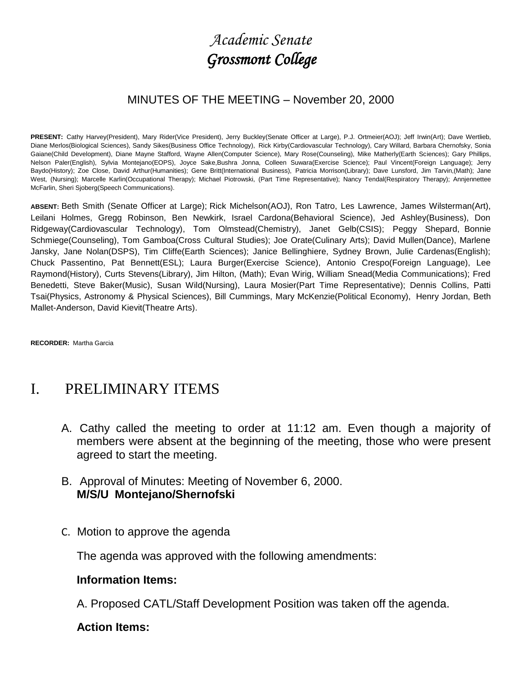# *Academic Senate Grossmont College*

#### MINUTES OF THE MEETING – November 20, 2000

PRESENT: Cathy Harvey(President), Mary Rider(Vice President), Jerry Buckley(Senate Officer at Large), P.J. Ortmeier(AOJ); Jeff Irwin(Art); Dave Wertlieb, Diane Merlos(Biological Sciences), Sandy Sikes(Business Office Technology), Rick Kirby(Cardiovascular Technology), Cary Willard, Barbara Chernofsky, Sonia Gaiane(Child Development), Diane Mayne Stafford, Wayne Allen(Computer Science), Mary Rose(Counseling), Mike Matherly(Earth Sciences); Gary Phillips, Nelson Paler(English), Sylvia Montejano(EOPS), Joyce Sake,Bushra Jonna, Colleen Suwara(Exercise Science); Paul Vincent(Foreign Language); Jerry Baydo(History); Zoe Close, David Arthur(Humanities); Gene Britt(International Business), Patricia Morrison(Library); Dave Lunsford, Jim Tarvin,(Math); Jane West, (Nursing); Marcelle Karlin(Occupational Therapy); Michael Piotrowski, (Part Time Representative); Nancy Tendal(Respiratory Therapy); Annjennettee McFarlin, Sheri Sjoberg(Speech Communications).

**ABSENT:** Beth Smith (Senate Officer at Large); Rick Michelson(AOJ), Ron Tatro, Les Lawrence, James Wilsterman(Art), Leilani Holmes, Gregg Robinson, Ben Newkirk, Israel Cardona(Behavioral Science), Jed Ashley(Business), Don Ridgeway(Cardiovascular Technology), Tom Olmstead(Chemistry), Janet Gelb(CSIS); Peggy Shepard, Bonnie Schmiege(Counseling), Tom Gamboa(Cross Cultural Studies); Joe Orate(Culinary Arts); David Mullen(Dance), Marlene Jansky, Jane Nolan(DSPS), Tim Cliffe(Earth Sciences); Janice Bellinghiere, Sydney Brown, Julie Cardenas(English); Chuck Passentino, Pat Bennett(ESL); Laura Burger(Exercise Science), Antonio Crespo(Foreign Language), Lee Raymond(History), Curts Stevens(Library), Jim Hilton, (Math); Evan Wirig, William Snead(Media Communications); Fred Benedetti, Steve Baker(Music), Susan Wild(Nursing), Laura Mosier(Part Time Representative); Dennis Collins, Patti Tsai(Physics, Astronomy & Physical Sciences), Bill Cummings, Mary McKenzie(Political Economy), Henry Jordan, Beth Mallet-Anderson, David Kievit(Theatre Arts).

**RECORDER:** Martha Garcia

## I. PRELIMINARY ITEMS

- A. Cathy called the meeting to order at 11:12 am. Even though a majority of members were absent at the beginning of the meeting, those who were present agreed to start the meeting.
- B. Approval of Minutes: Meeting of November 6, 2000. **M/S/U Montejano/Shernofski**
- C. Motion to approve the agenda

The agenda was approved with the following amendments:

#### **Information Items:**

A. Proposed CATL/Staff Development Position was taken off the agenda.

#### **Action Items:**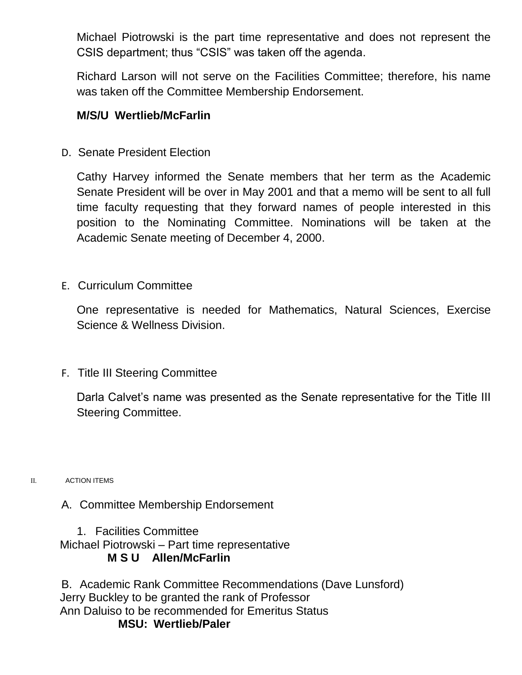Michael Piotrowski is the part time representative and does not represent the CSIS department; thus "CSIS" was taken off the agenda.

Richard Larson will not serve on the Facilities Committee; therefore, his name was taken off the Committee Membership Endorsement.

#### **M/S/U Wertlieb/McFarlin**

D. Senate President Election

Cathy Harvey informed the Senate members that her term as the Academic Senate President will be over in May 2001 and that a memo will be sent to all full time faculty requesting that they forward names of people interested in this position to the Nominating Committee. Nominations will be taken at the Academic Senate meeting of December 4, 2000.

E. Curriculum Committee

One representative is needed for Mathematics, Natural Sciences, Exercise Science & Wellness Division.

F. Title III Steering Committee

Darla Calvet's name was presented as the Senate representative for the Title III Steering Committee.

- II. ACTION ITEMS
	- A. Committee Membership Endorsement

1. Facilities Committee Michael Piotrowski – Part time representative **M S U Allen/McFarlin**

B. Academic Rank Committee Recommendations (Dave Lunsford) Jerry Buckley to be granted the rank of Professor Ann Daluiso to be recommended for Emeritus Status **MSU: Wertlieb/Paler**